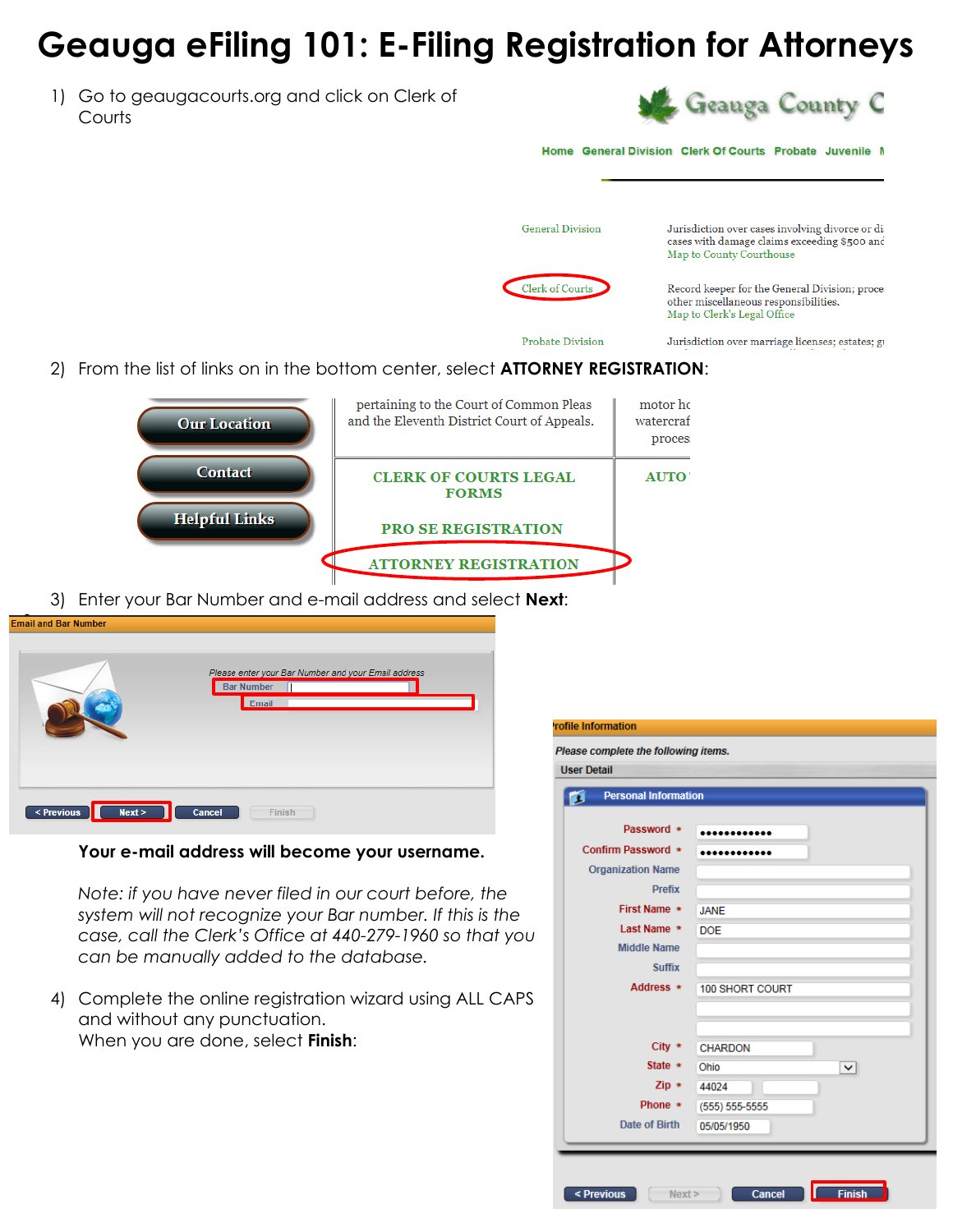## **Geauga eFiling 101: E-Filing Registration for Attorneys**

1) Go to geaugacourts.org and click on Clerk of **Courts** 



Home General Division Clerk Of Courts Probate Juvenile M

**General Division** Jurisdiction over cases involving divorce or dicases with damage claims exceeding \$500 and Map to County Courthouse Clerk of Courts Record keeper for the General Division; proce other miscellaneous responsibilities. Map to Clerk's Legal Office **Probate Division** Jurisdiction over marriage licenses; estates; gr

2) From the list of links on in the bottom center, select **ATTORNEY REGISTRATION**:



 $\overline{P}$ 

3) Enter your Bar Number and e-mail address and select **Next**:

| <b>Email and Bar Number</b> |                                                                                   |
|-----------------------------|-----------------------------------------------------------------------------------|
|                             | Please enter your Bar Number and your Email address<br><b>Bar Number</b><br>Email |
| < Previous<br>Next >        | Cancel<br>Finish                                                                  |

## **Your e-mail address will become your username.**

*Note: if you have never filed in our court before, the system will not recognize your Bar number. If this is the case, call the Clerk's Office at 440-279-1960 so that you can be manually added to the database.*

4) Complete the online registration wizard using ALL CAPS and without any punctuation. When you are done, select **Finish**:

| <b>Iser Detail</b><br><b>Personal Information</b><br>B |                      |
|--------------------------------------------------------|----------------------|
| Password *                                             |                      |
|                                                        |                      |
| Confirm Password *                                     |                      |
| <b>Organization Name</b>                               |                      |
| <b>Prefix</b>                                          |                      |
| First Name *                                           | <b>JANE</b>          |
| Last Name *                                            | <b>DOE</b>           |
| <b>Middle Name</b>                                     |                      |
| <b>Suffix</b>                                          |                      |
| Address *                                              | 100 SHORT COURT      |
|                                                        |                      |
|                                                        |                      |
| City $*$                                               | <b>CHARDON</b>       |
| State $\ast$                                           | Ohio<br>$\checkmark$ |
| $Zip *$                                                | 44024                |
| Phone $\ast$                                           | $(555) 555-5555$     |
| Date of Birth                                          | 05/05/1950           |
|                                                        |                      |